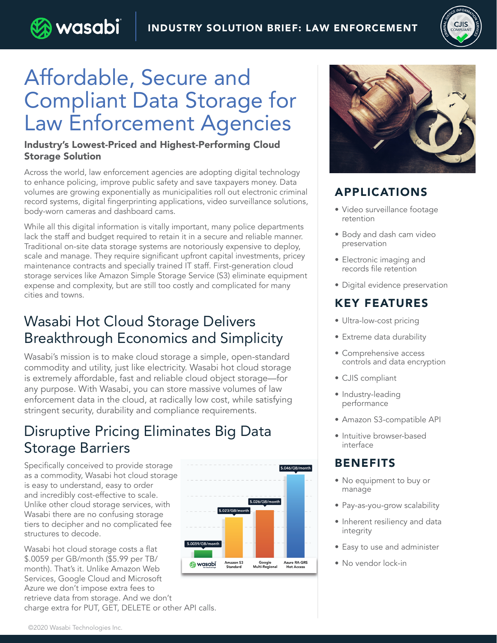

# Affordable, Secure and Compliant Data Storage for Law Enforcement Agencies

) wasabi

#### Industry's Lowest-Priced and Highest-Performing Cloud Storage Solution

Across the world, law enforcement agencies are adopting digital technology to enhance policing, improve public safety and save taxpayers money. Data volumes are growing exponentially as municipalities roll out electronic criminal record systems, digital fingerprinting applications, video surveillance solutions, body-worn cameras and dashboard cams.

While all this digital information is vitally important, many police departments lack the staff and budget required to retain it in a secure and reliable manner. Traditional on-site data storage systems are notoriously expensive to deploy, scale and manage. They require significant upfront capital investments, pricey maintenance contracts and specially trained IT staff. First-generation cloud storage services like Amazon Simple Storage Service (S3) eliminate equipment expense and complexity, but are still too costly and complicated for many cities and towns.

### Wasabi Hot Cloud Storage Delivers Breakthrough Economics and Simplicity

Wasabi's mission is to make cloud storage a simple, open-standard commodity and utility, just like electricity. Wasabi hot cloud storage is extremely affordable, fast and reliable cloud object storage—for any purpose. With Wasabi, you can store massive volumes of law enforcement data in the cloud, at radically low cost, while satisfying stringent security, durability and compliance requirements.

### Disruptive Pricing Eliminates Big Data Storage Barriers

Specifically conceived to provide storage as a commodity, Wasabi hot cloud storage is easy to understand, easy to order and incredibly cost-effective to scale. Unlike other cloud storage services, with Wasabi there are no confusing storage tiers to decipher and no complicated fee structures to decode.

Wasabi hot cloud storage costs a flat \$.0059 per GB/month (\$5.99 per TB/ month). That's it. Unlike Amazon Web Services, Google Cloud and Microsoft Azure we don't impose extra fees to retrieve data from storage. And we don't charge extra for PUT, GET, DELETE or other API calls.





#### APPLICATIONS

- Video surveillance footage retention
- Body and dash cam video preservation
- Electronic imaging and records file retention
- Digital evidence preservation

#### KEY FEATURES

- Ultra-low-cost pricing
- Extreme data durability
- Comprehensive access controls and data encryption
- CJIS compliant
- Industry-leading performance
- Amazon S3-compatible API
- Intuitive browser-based interface

#### **BENEFITS**

- No equipment to buy or manage
- Pay-as-you-grow scalability
- Inherent resiliency and data integrity
- Easy to use and administer
- No vendor lock-in